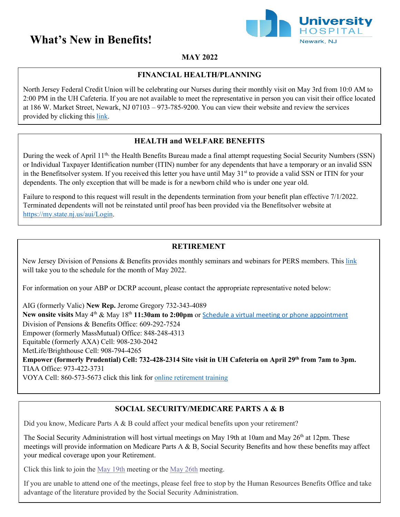# **What's New in Benefits!**



# **MAY 2022**

## **FINANCIAL HEALTH/PLANNING**

North Jersey Federal Credit Union will be celebrating our Nurses during their monthly visit on May 3rd from 10:0 AM to 2:00 PM in the UH Cafeteria. If you are not available to meet the representative in person you can visit their office located at 186 W. Market Street, Newark, NJ 07103 – 973-785-9200. You can view their website and review the services provided by clicking this [link.](https://njfcu.org/)

## **HEALTH and WELFARE BENEFITS**

During the week of April 11<sup>th,</sup> the Health Benefits Bureau made a final attempt requesting Social Security Numbers (SSN) or Individual Taxpayer Identification number (ITIN) number for any dependents that have a temporary or an invalid SSN in the Benefitsolver system. If you received this letter you have until May  $31<sup>st</sup>$  to provide a valid SSN or ITIN for your dependents. The only exception that will be made is for a newborn child who is under one year old.

Failure to respond to this request will result in the dependents termination from your benefit plan effective 7/1/2022. Terminated dependents will not be reinstated until proof has been provided via the Benefitsolver website at [https://my.state.nj.us/aui/Login.](https://my.state.nj.us/aui/Login)

### **RETIREMENT**

New Jersey Division of Pensions & Benefits provides monthly seminars and webinars for PERS members. This [link](https://www.state.nj.us/treasury/pensions/member-training.shtml)  will take you to the schedule for the month of May 2022.

For information on your ABP or DCRP account, please contact the appropriate representative noted below:

AIG (formerly Valic) **New Rep.** Jerome Gregory 732-343-4089 **New onsite visits** May 4th & May 18th **11:30am to 2:00pm** or [Schedule a virtual meeting or phone appointment](https://nam12.safelinks.protection.outlook.com/?url=https%3A%2F%2Fmy.valic.com%2Fseminarregistration%2Favailableseminars.aspx%3Fregcode%3D6705PWA11AB&data=05%7C01%7Cwilli201%40uhnj.org%7Ce96bd7aa32704aa8d54708da23c667b8%7Cc0cbdb0e31264f00a42e5a1c1137b145%7C1%7C0%7C637861632423337177%7CUnknown%7CTWFpbGZsb3d8eyJWIjoiMC4wLjAwMDAiLCJQIjoiV2luMzIiLCJBTiI6Ik1haWwiLCJXVCI6Mn0%3D%7C2000%7C%7C%7C&sdata=9RBSohcWpHj5sRciwqJ%2BaJUix7GWw6Nhq5%2BnMP%2FAz0g%3D&reserved=0) Division of Pensions & Benefits Office: 609-292-7524 Empower (formerly MassMutual) Office: 848-248-4313 Equitable (formerly AXA) Cell: 908-230-2042 MetLife/Brighthouse Cell: 908-794-4265 Empower (formerly Prudential) Cell: 732-428-2314 Site visit in UH Cafeteria on April 29<sup>th</sup> from 7am to 3pm. TIAA Office: 973-422-3731

VOYA Cell: 860-573-5673 click this link for [online retirement training](https://nam12.safelinks.protection.outlook.com/?url=https%3A%2F%2Fwww.voya.com%2Fvoyalearn&data=04%7C01%7Cwilli201%40uhnj.org%7Cdc0d19cb1c994d019f3b08da1977da73%7Cc0cbdb0e31264f00a42e5a1c1137b145%7C1%7C0%7C637850299816283666%7CUnknown%7CTWFpbGZsb3d8eyJWIjoiMC4wLjAwMDAiLCJQIjoiV2luMzIiLCJBTiI6Ik1haWwiLCJXVCI6Mn0%3D%7C3000&sdata=eowdhPkhN4G%2BOhBEynJMPEJXLTE%2FcTVB01%2B3OliS0xg%3D&reserved=0)

# **SOCIAL SECURITY/MEDICARE PARTS A & B**

Did you know, Medicare Parts A & B could affect your medical benefits upon your retirement?

The Social Security Administration will host virtual meetings on May 19th at 10am and May 26<sup>th</sup> at 12pm. These meetings will provide information on Medicare Parts A & B, Social Security Benefits and how these benefits may affect your medical coverage upon your Retirement.

Click this link to join the [May 19th](https://nam12.safelinks.protection.outlook.com/ap/t-59584e83/?url=https%3A%2F%2Fteams.microsoft.com%2Fl%2Fmeetup-join%2F19%253ameeting_YTBmYTBiYTgtMTA4MC00MTA4LWJjODktOTRkNjA3OTMzNzMw%2540thread.v2%2F0%3Fcontext%3D%257b%2522Tid%2522%253a%252298ed61bc-45d1-4a5b-946a-54bd05626381%2522%252c%2522Oid%2522%253a%2522a09b1858-f647-46b4-96da-110ac9a82ae0%2522%257d&data=04%7C01%7Cwilli201%40uhnj.org%7C5f0ea045048d40ab194a08da1bbdd8e3%7Cc0cbdb0e31264f00a42e5a1c1137b145%7C1%7C0%7C637852799898276024%7CUnknown%7CTWFpbGZsb3d8eyJWIjoiMC4wLjAwMDAiLCJQIjoiV2luMzIiLCJBTiI6Ik1haWwiLCJXVCI6Mn0%3D%7C3000&sdata=9%2FHypawr7dNvk6MsdtEr9GPEl4tnXcoX52yd7%2FYyzio%3D&reserved=0) meeting or the [May 26th](https://nam12.safelinks.protection.outlook.com/ap/t-59584e83/?url=https%3A%2F%2Fteams.microsoft.com%2Fl%2Fmeetup-join%2F19%253ameeting_NjVkOTVkNDYtOGVkNi00MWQ3LWIzODctZmFlZWU4MjJhMGRh%2540thread.v2%2F0%3Fcontext%3D%257b%2522Tid%2522%253a%252298ed61bc-45d1-4a5b-946a-54bd05626381%2522%252c%2522Oid%2522%253a%2522a09b1858-f647-46b4-96da-110ac9a82ae0%2522%257d&data=04%7C01%7Cwilli201%40uhnj.org%7C1740829dfb604b687e1a08da1bbed369%7Cc0cbdb0e31264f00a42e5a1c1137b145%7C1%7C0%7C637852803693578533%7CUnknown%7CTWFpbGZsb3d8eyJWIjoiMC4wLjAwMDAiLCJQIjoiV2luMzIiLCJBTiI6Ik1haWwiLCJXVCI6Mn0%3D%7C3000&sdata=7w%2FHXqBxV4xvCqf30kjnwyMRBxxMc0kamYyqH88keRY%3D&reserved=0) meeting.

If you are unable to attend one of the meetings, please feel free to stop by the Human Resources Benefits Office and take advantage of the literature provided by the Social Security Administration.